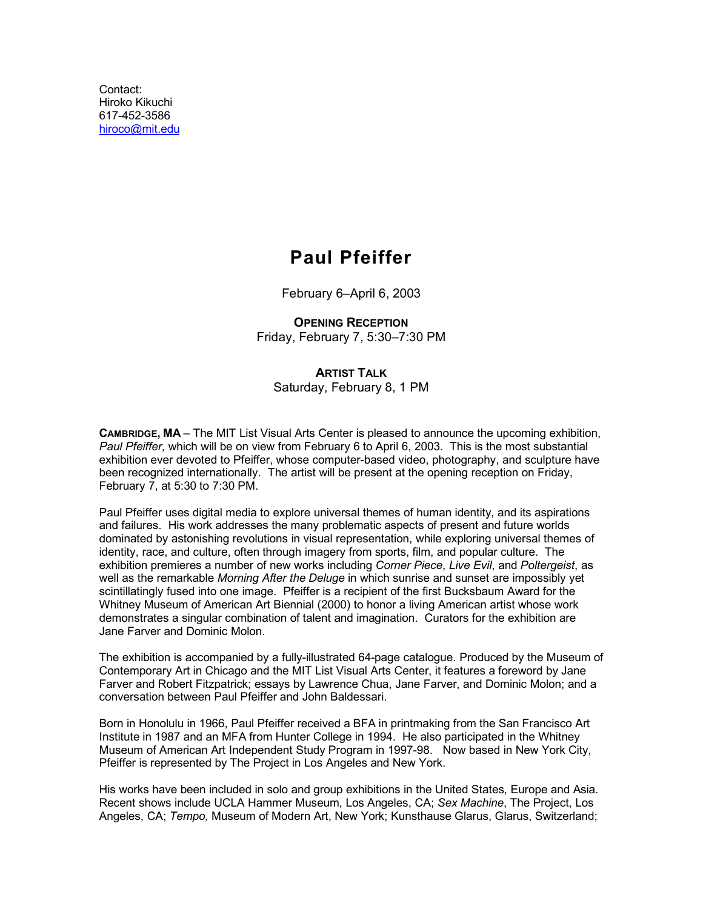Contact: Hiroko Kikuchi 617-452-3586 [hiroco@mit.edu](mailto:hiroco@mit.edu)

# **Paul Pfeiffer**

February 6–April 6, 2003

**OPENING RECEPTION** Friday, February 7, 5:30–7:30 PM

**ARTIST TALK** Saturday, February 8, 1 PM

**CAMBRIDGE, MA** – The MIT List Visual Arts Center is pleased to announce the upcoming exhibition, *Paul Pfeiffer,* which will be on view from February 6 to April 6, 2003. This is the most substantial exhibition ever devoted to Pfeiffer, whose computer-based video, photography, and sculpture have been recognized internationally. The artist will be present at the opening reception on Friday, February 7, at 5:30 to 7:30 PM.

Paul Pfeiffer uses digital media to explore universal themes of human identity, and its aspirations and failures. His work addresses the many problematic aspects of present and future worlds dominated by astonishing revolutions in visual representation, while exploring universal themes of identity, race, and culture, often through imagery from sports, film, and popular culture. The exhibition premieres a number of new works including *Corner Piece*, *Live Evil*, and *Poltergeist*, as well as the remarkable *Morning After the Deluge* in which sunrise and sunset are impossibly yet scintillatingly fused into one image. Pfeiffer is a recipient of the first Bucksbaum Award for the Whitney Museum of American Art Biennial (2000) to honor a living American artist whose work demonstrates a singular combination of talent and imagination. Curators for the exhibition are Jane Farver and Dominic Molon.

The exhibition is accompanied by a fully-illustrated 64-page catalogue. Produced by the Museum of Contemporary Art in Chicago and the MIT List Visual Arts Center, it features a foreword by Jane Farver and Robert Fitzpatrick; essays by Lawrence Chua, Jane Farver, and Dominic Molon; and a conversation between Paul Pfeiffer and John Baldessari.

Born in Honolulu in 1966, Paul Pfeiffer received a BFA in printmaking from the San Francisco Art Institute in 1987 and an MFA from Hunter College in 1994. He also participated in the Whitney Museum of American Art Independent Study Program in 1997-98. Now based in New York City, Pfeiffer is represented by The Project in Los Angeles and New York.

His works have been included in solo and group exhibitions in the United States, Europe and Asia. Recent shows include UCLA Hammer Museum, Los Angeles, CA; *Sex Machine*, The Project, Los Angeles, CA; *Tempo,* Museum of Modern Art, New York; Kunsthause Glarus, Glarus, Switzerland;